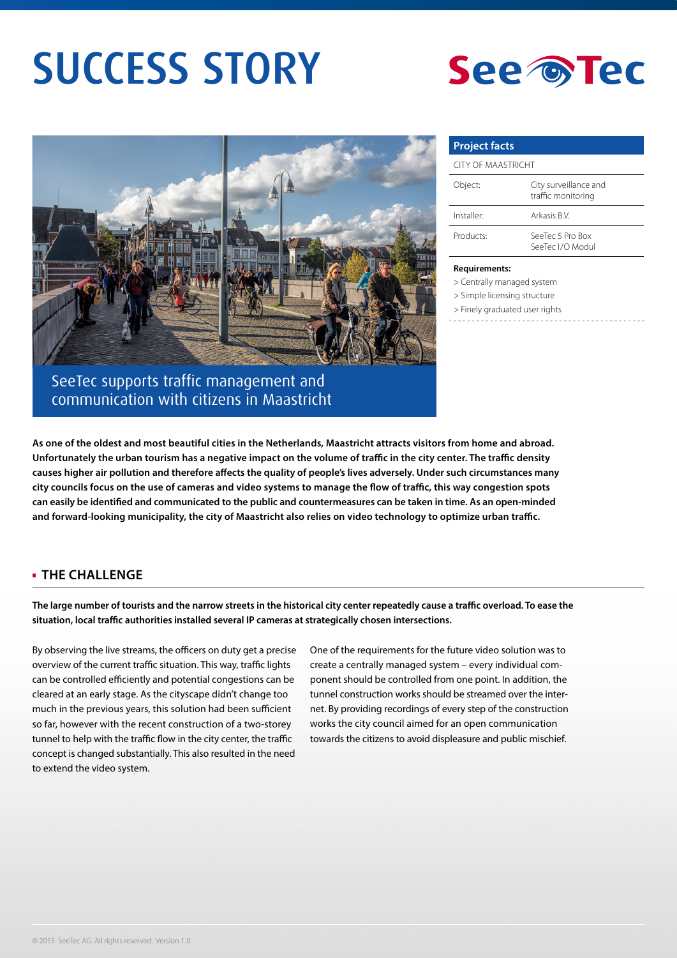# SUCCESS STORY





SeeTec supports traffic management and communication with citizens in Maastricht

## **Project facts**

| <b>CITY OF MAASTRICHT</b> |                                             |
|---------------------------|---------------------------------------------|
| Object:                   | City surveillance and<br>traffic monitoring |
| Installer <sup>.</sup>    | Arkasis B.V.                                |
| Products:                 | SeeTec 5 Pro Box<br>SeeTec I/O Modul        |

#### **Requirements:**

> Centrally managed system

- > Simple licensing structure
- > Finely graduated user rights
- 

**As one of the oldest and most beautiful cities in the Netherlands, Maastricht attracts visitors from home and abroad. Unfortunately the urban tourism has a negative impact on the volume of traffic in the city center. The traffic density causes higher air pollution and therefore affects the quality of people's lives adversely. Under such circumstances many city councils focus on the use of cameras and video systems to manage the flow of traffic, this way congestion spots can easily be identified and communicated to the public and countermeasures can be taken in time. As an open-minded and forward-looking municipality, the city of Maastricht also relies on video technology to optimize urban traffic.**

#### **THE CHALLENGE**

**The large number of tourists and the narrow streets in the historical city center repeatedly cause a traffic overload. To ease the situation, local traffic authorities installed several IP cameras at strategically chosen intersections.** 

By observing the live streams, the officers on duty get a precise overview of the current traffic situation. This way, traffic lights can be controlled efficiently and potential congestions can be cleared at an early stage. As the cityscape didn't change too much in the previous years, this solution had been sufficient so far, however with the recent construction of a two-storey tunnel to help with the traffic flow in the city center, the traffic concept is changed substantially. This also resulted in the need to extend the video system.

One of the requirements for the future video solution was to create a centrally managed system – every individual component should be controlled from one point. In addition, the tunnel construction works should be streamed over the internet. By providing recordings of every step of the construction works the city council aimed for an open communication towards the citizens to avoid displeasure and public mischief.